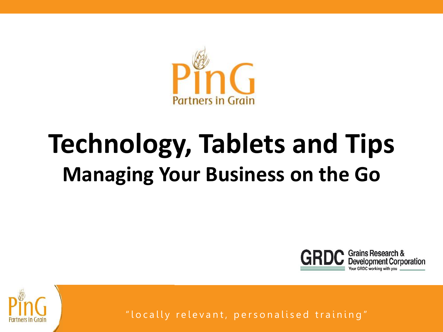

## **Technology, Tablets and Tips Managing Your Business on the Go**



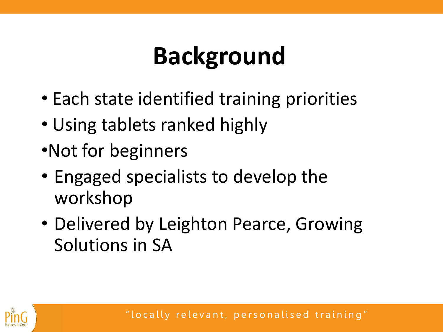## **Background**

- Each state identified training priorities
- Using tablets ranked highly
- •Not for beginners
- Engaged specialists to develop the workshop
- Delivered by Leighton Pearce, Growing Solutions in SA

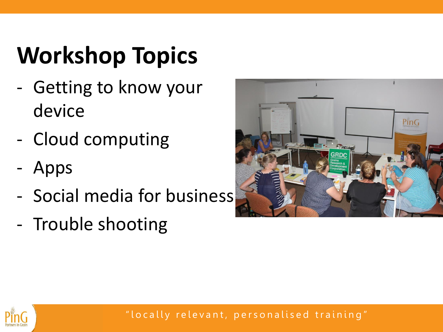# **Workshop Topics**

- Getting to know your device
- Cloud computing
- Apps
- Social media for business
- Trouble shooting



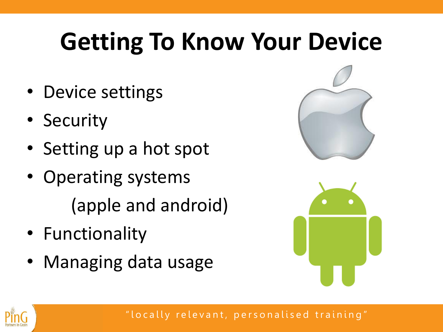## **Getting To Know Your Device**

- Device settings
- Security
- Setting up a hot spot
- Operating systems (apple and android)
- Functionality
- Managing data usage





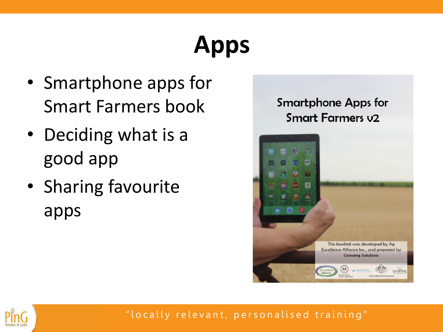# **Apps**

- Smartphone apps for Smart Farmers book
- Deciding what is a good app
- Sharing favourite apps



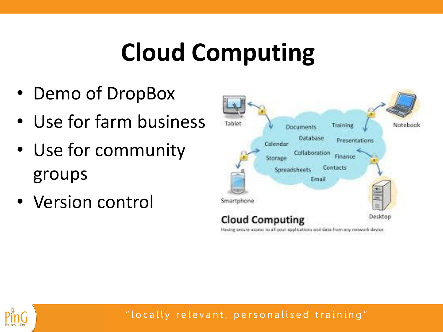## **Cloud Computing**

- Demo of DropBox
- Use for farm business
- Use for community groups
- Version control



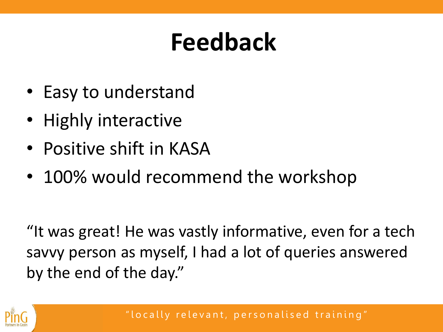#### **Feedback**

- Easy to understand
- Highly interactive
- Positive shift in KASA
- 100% would recommend the workshop

"It was great! He was vastly informative, even for a tech savvy person as myself, I had a lot of queries answered by the end of the day."

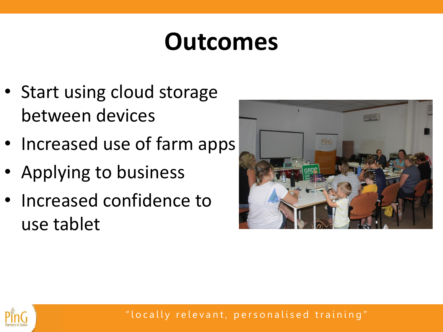#### **Outcomes**

- Start using cloud storage between devices
- Increased use of farm apps
- Applying to business
- Increased confidence to use tablet



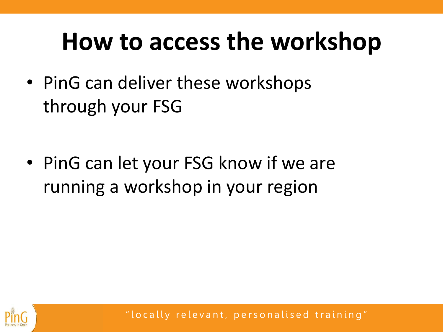#### **How to access the workshop**

• PinG can deliver these workshops through your FSG

• PinG can let your FSG know if we are running a workshop in your region

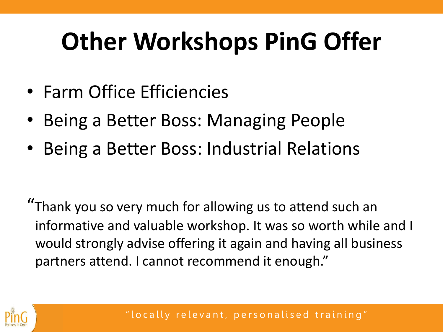### **Other Workshops PinG Offer**

- Farm Office Efficiencies
- Being a Better Boss: Managing People
- Being a Better Boss: Industrial Relations

"Thank you so very much for allowing us to attend such an informative and valuable workshop. It was so worth while and I would strongly advise offering it again and having all business partners attend. I cannot recommend it enough."